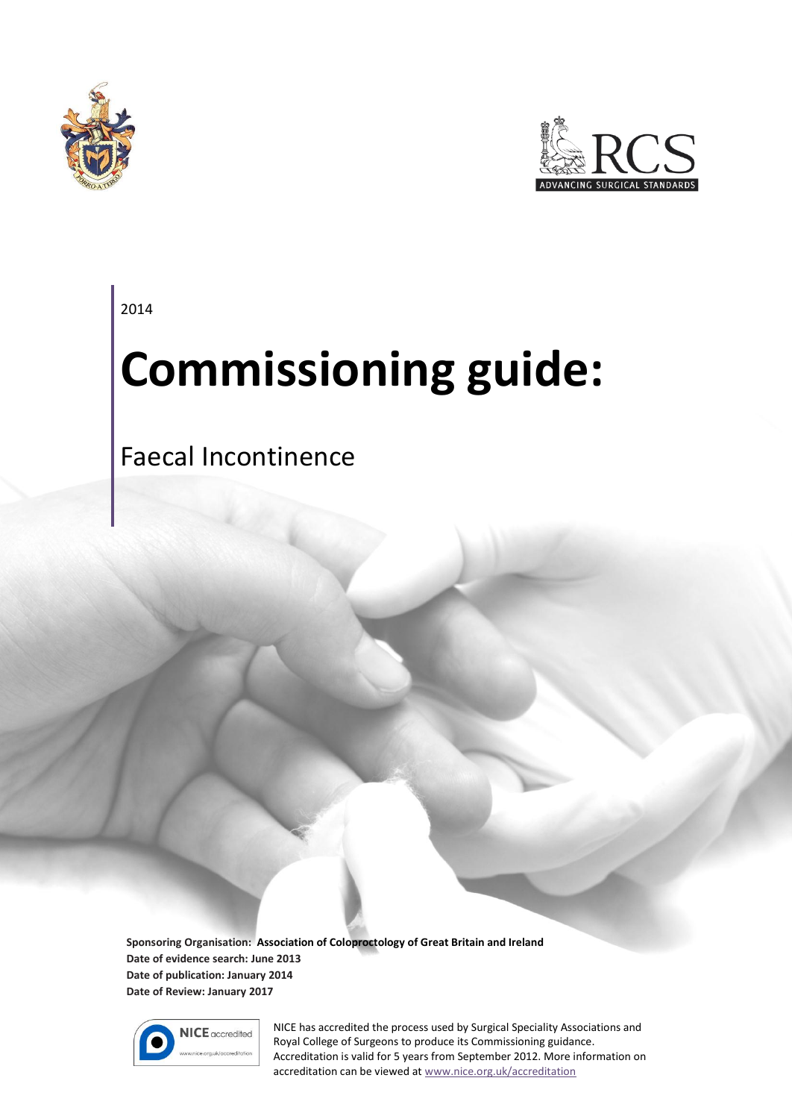



2014

# **Commissioning guide:**

## Faecal Incontinence

**Sponsoring Organisation: Association of Coloproctology of Great Britain and Ireland Date of evidence search: June 2013 Date of publication: January 2014 Date of Review: January 2017**



NICE has accredited the process used by Surgical Speciality Associations and Royal College of Surgeons to produce its Commissioning guidance. Accreditation is valid for 5 years from September 2012. More information on accreditation can be viewed at [www.nice.org.uk/accreditation](http://www.nice.org.uk/accreditation)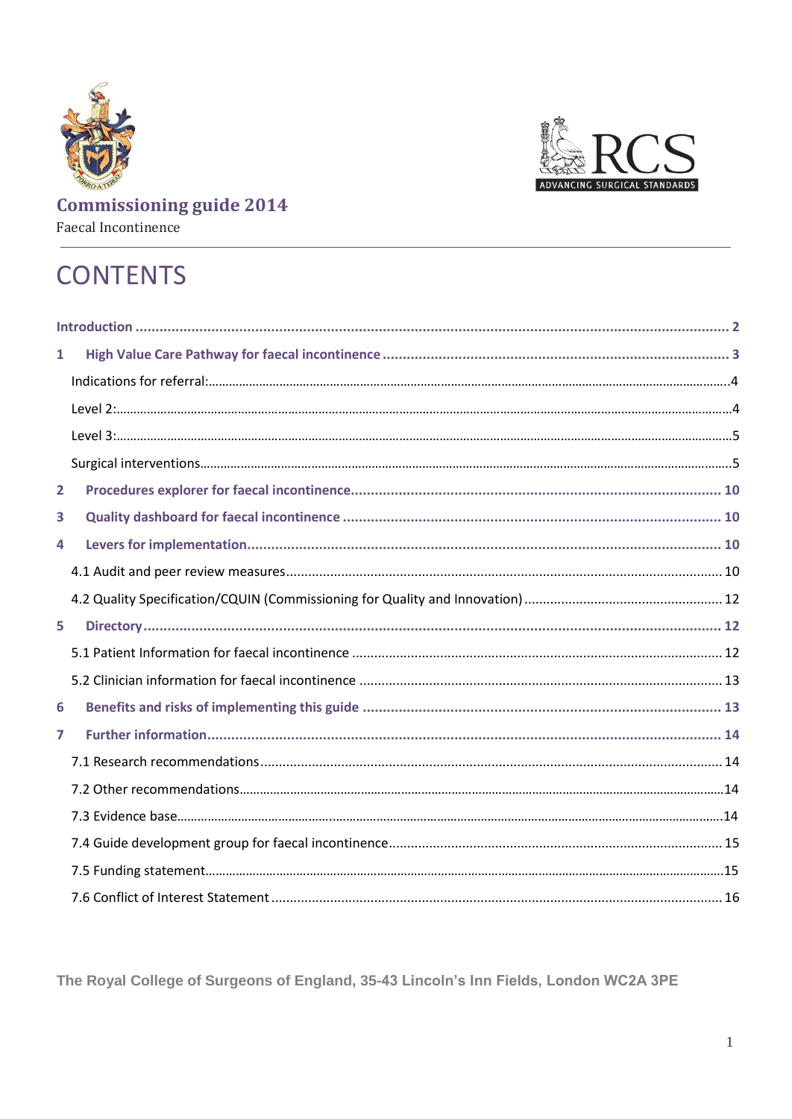



# Faecal Incontinence

# **CONTENTS**

| $\mathbf{1}$   |  |
|----------------|--|
|                |  |
|                |  |
|                |  |
|                |  |
| $\overline{2}$ |  |
| 3              |  |
| 4              |  |
|                |  |
|                |  |
| 5              |  |
|                |  |
|                |  |
| 6              |  |
| $\overline{7}$ |  |
|                |  |
|                |  |
|                |  |
|                |  |
|                |  |
|                |  |

<span id="page-1-0"></span>The Royal College of Surgeons of England, 35-43 Lincoln's Inn Fields, London WC2A 3PE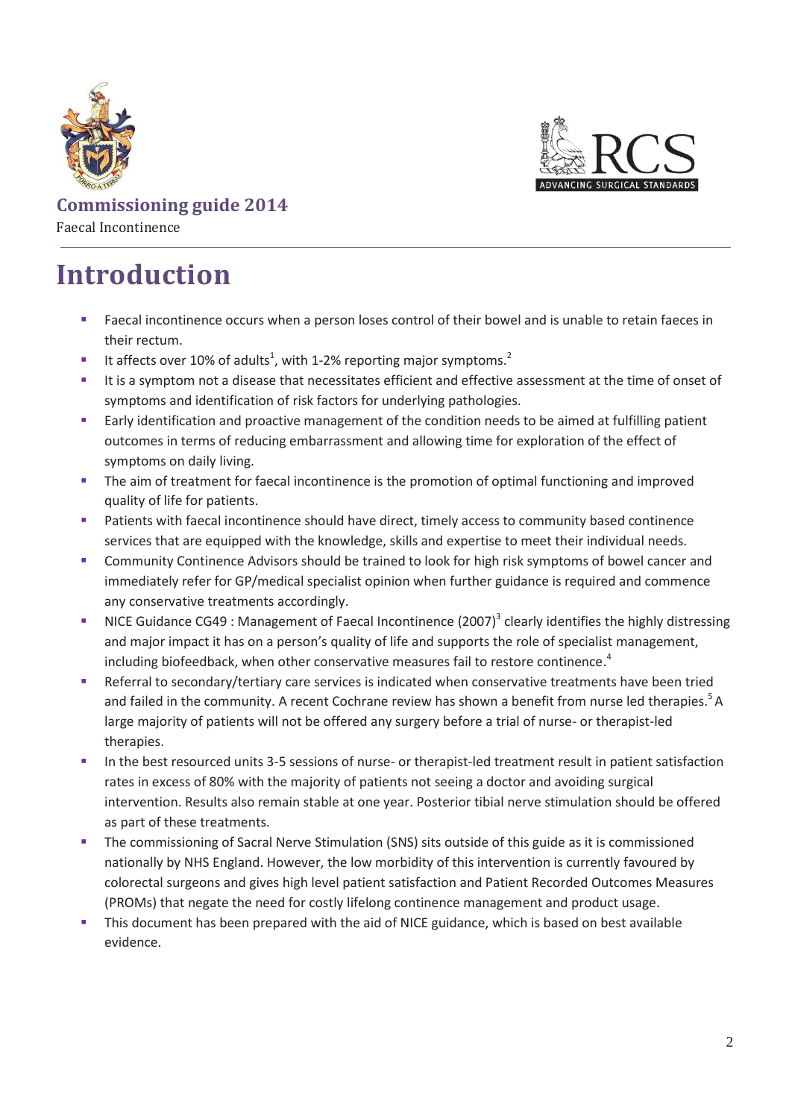



**Commissioning guide 2014**  Faecal Incontinence

# **Introduction**

- Faecal incontinence occurs when a person loses control of their bowel and is unable to retain faeces in their rectum.
- It affects over 10% of adults<sup>1</sup>, with 1-2% reporting major symptoms.<sup>2</sup>
- It is a symptom not a disease that necessitates efficient and effective assessment at the time of onset of symptoms and identification of risk factors for underlying pathologies.
- Early identification and proactive management of the condition needs to be aimed at fulfilling patient outcomes in terms of reducing embarrassment and allowing time for exploration of the effect of symptoms on daily living.
- The aim of treatment for faecal incontinence is the promotion of optimal functioning and improved quality of life for patients.
- **Patients with faecal incontinence should have direct, timely access to community based continence** services that are equipped with the knowledge, skills and expertise to meet their individual needs.
- Community Continence Advisors should be trained to look for high risk symptoms of bowel cancer and immediately refer for GP/medical specialist opinion when further guidance is required and commence any conservative treatments accordingly.
- **NICE Guidance CG49: Management of Faecal Incontinence (2007)**<sup>3</sup> clearly identifies the highly distressing and major impact it has on a person's quality of life and supports the role of specialist management, including biofeedback, when other conservative measures fail to restore continence. 4
- Referral to secondary/tertiary care services is indicated when conservative treatments have been tried and failed in the community. A recent Cochrane review has shown a benefit from nurse led therapies.<sup>5</sup> A large majority of patients will not be offered any surgery before a trial of nurse- or therapist-led therapies.
- In the best resourced units 3-5 sessions of nurse- or therapist-led treatment result in patient satisfaction rates in excess of 80% with the majority of patients not seeing a doctor and avoiding surgical intervention. Results also remain stable at one year. Posterior tibial nerve stimulation should be offered as part of these treatments.
- **The commissioning of Sacral Nerve Stimulation (SNS) sits outside of this guide as it is commissioned** nationally by NHS England. However, the low morbidity of this intervention is currently favoured by colorectal surgeons and gives high level patient satisfaction and Patient Recorded Outcomes Measures (PROMs) that negate the need for costly lifelong continence management and product usage.
- This document has been prepared with the aid of NICE guidance, which is based on best available evidence.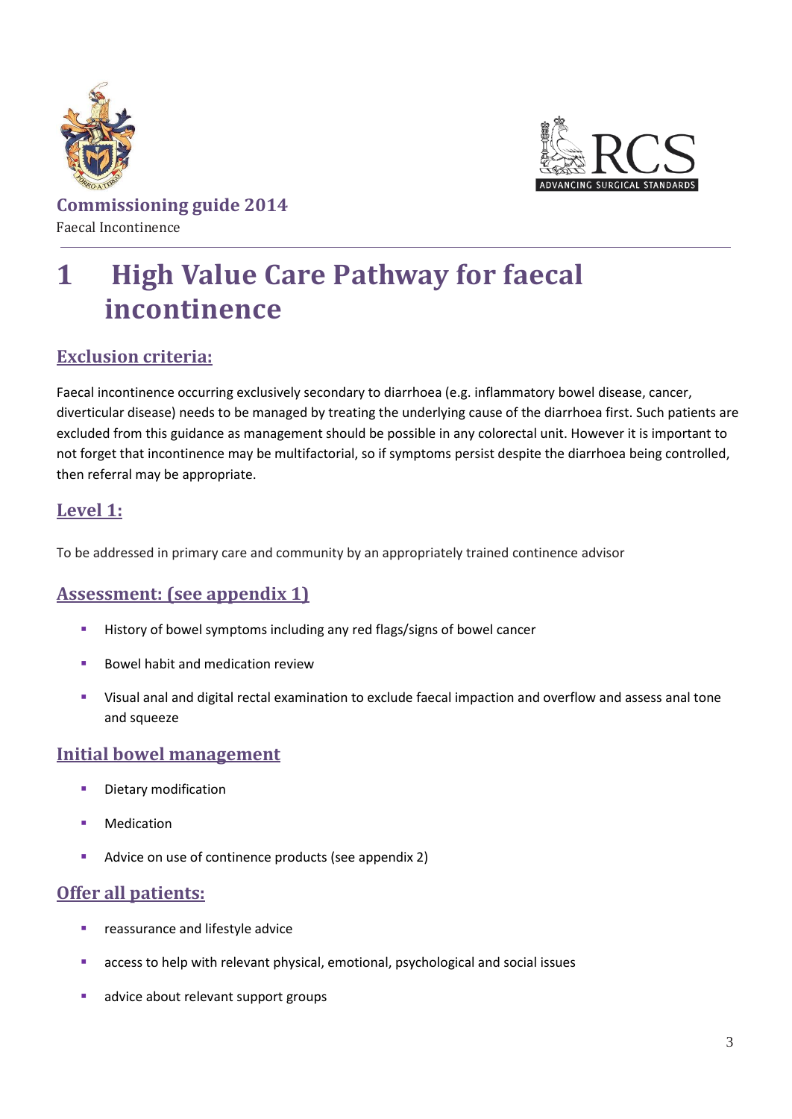



# <span id="page-3-0"></span>**1 High Value Care Pathway for faecal incontinence**

### **Exclusion criteria:**

Faecal incontinence occurring exclusively secondary to diarrhoea (e.g. inflammatory bowel disease, cancer, diverticular disease) needs to be managed by treating the underlying cause of the diarrhoea first. Such patients are excluded from this guidance as management should be possible in any colorectal unit. However it is important to not forget that incontinence may be multifactorial, so if symptoms persist despite the diarrhoea being controlled, then referral may be appropriate.

### **Level 1:**

To be addressed in primary care and community by an appropriately trained continence advisor

### **Assessment: (see appendix 1)**

- **History of bowel symptoms including any red flags/signs of bowel cancer**
- Bowel habit and medication review
- Visual anal and digital rectal examination to exclude faecal impaction and overflow and assess anal tone and squeeze

### **Initial bowel management**

- **Dietary modification**
- Medication
- Advice on use of continence products (see appendix 2)

### **Offer all patients:**

- **reassurance and lifestyle advice**
- access to help with relevant physical, emotional, psychological and social issues
- advice about relevant support groups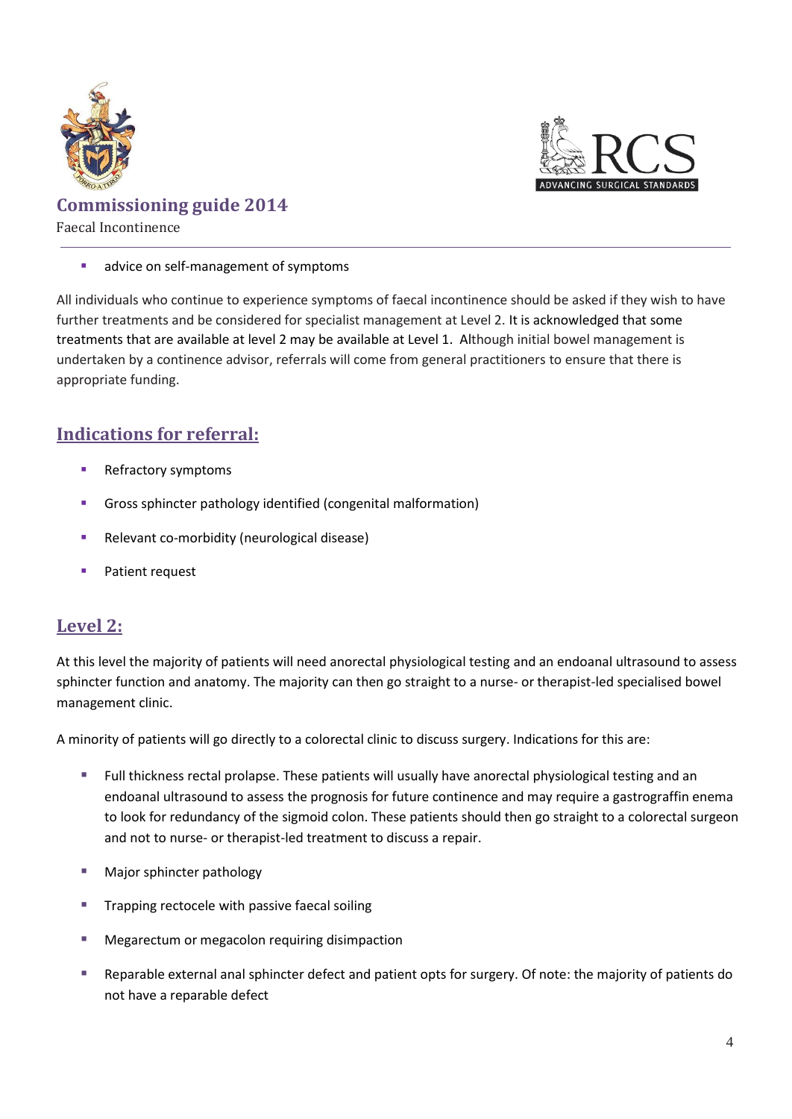



#### advice on self-management of symptoms

All individuals who continue to experience symptoms of faecal incontinence should be asked if they wish to have further treatments and be considered for specialist management at Level 2. It is acknowledged that some treatments that are available at level 2 may be available at Level 1. Although initial bowel management is undertaken by a continence advisor, referrals will come from general practitioners to ensure that there is appropriate funding.

### <span id="page-4-0"></span>**Indications for referral:**

- Refractory symptoms
- Gross sphincter pathology identified (congenital malformation)
- Relevant co-morbidity (neurological disease)
- Patient request

### <span id="page-4-1"></span>**Level 2:**

At this level the majority of patients will need anorectal physiological testing and an endoanal ultrasound to assess sphincter function and anatomy. The majority can then go straight to a nurse- or therapist-led specialised bowel management clinic.

A minority of patients will go directly to a colorectal clinic to discuss surgery. Indications for this are:

- Full thickness rectal prolapse. These patients will usually have anorectal physiological testing and an endoanal ultrasound to assess the prognosis for future continence and may require a gastrograffin enema to look for redundancy of the sigmoid colon. These patients should then go straight to a colorectal surgeon and not to nurse- or therapist-led treatment to discuss a repair.
- **Major sphincter pathology**
- **Trapping rectocele with passive faecal soiling**
- Megarectum or megacolon requiring disimpaction
- Reparable external anal sphincter defect and patient opts for surgery. Of note: the majority of patients do not have a reparable defect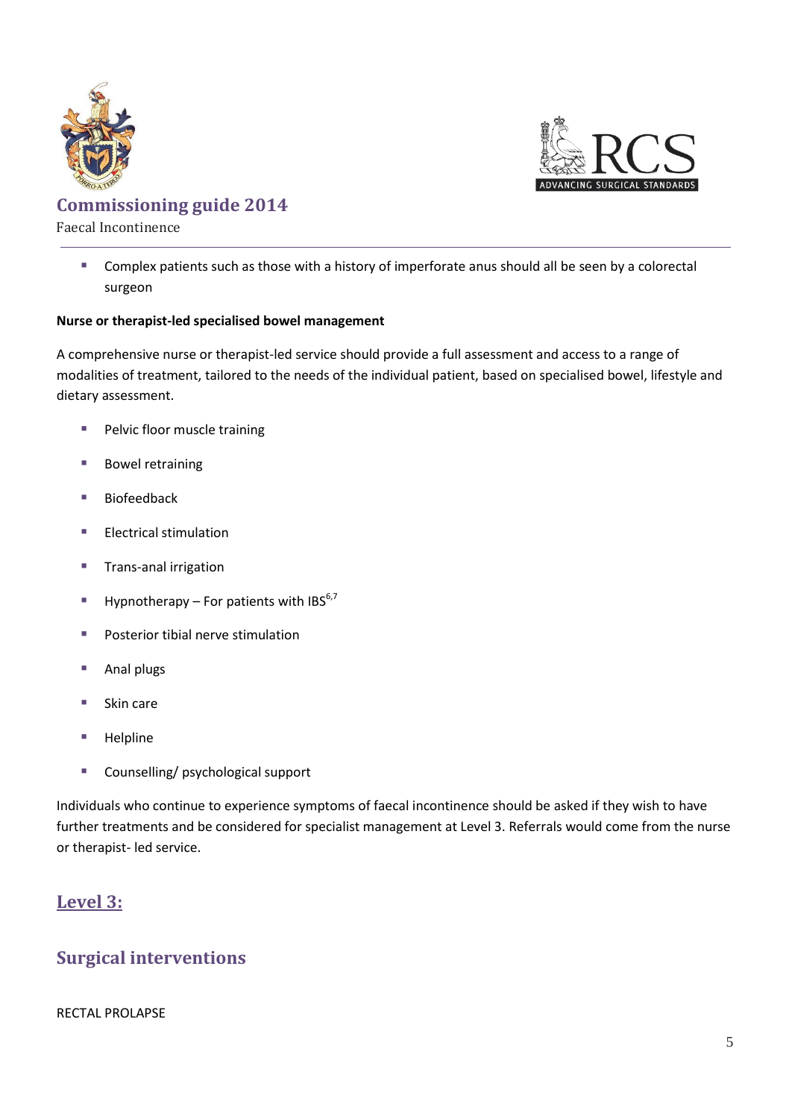



Faecal Incontinence

 Complex patients such as those with a history of imperforate anus should all be seen by a colorectal surgeon

#### **Nurse or therapist-led specialised bowel management**

A comprehensive nurse or therapist-led service should provide a full assessment and access to a range of modalities of treatment, tailored to the needs of the individual patient, based on specialised bowel, lifestyle and dietary assessment.

- **Pelvic floor muscle training**
- **Bowel retraining**
- Biofeedback
- **Electrical stimulation**
- **Trans-anal irrigation**
- Hypnotherapy For patients with IBS<sup>6,7</sup>
- **Posterior tibial nerve stimulation**
- Anal plugs
- Skin care
- Helpline
- Counselling/ psychological support

Individuals who continue to experience symptoms of faecal incontinence should be asked if they wish to have further treatments and be considered for specialist management at Level 3. Referrals would come from the nurse or therapist- led service.

### <span id="page-5-1"></span><span id="page-5-0"></span>**Level 3:**

### **Surgical interventions**

#### RECTAL PROLAPSE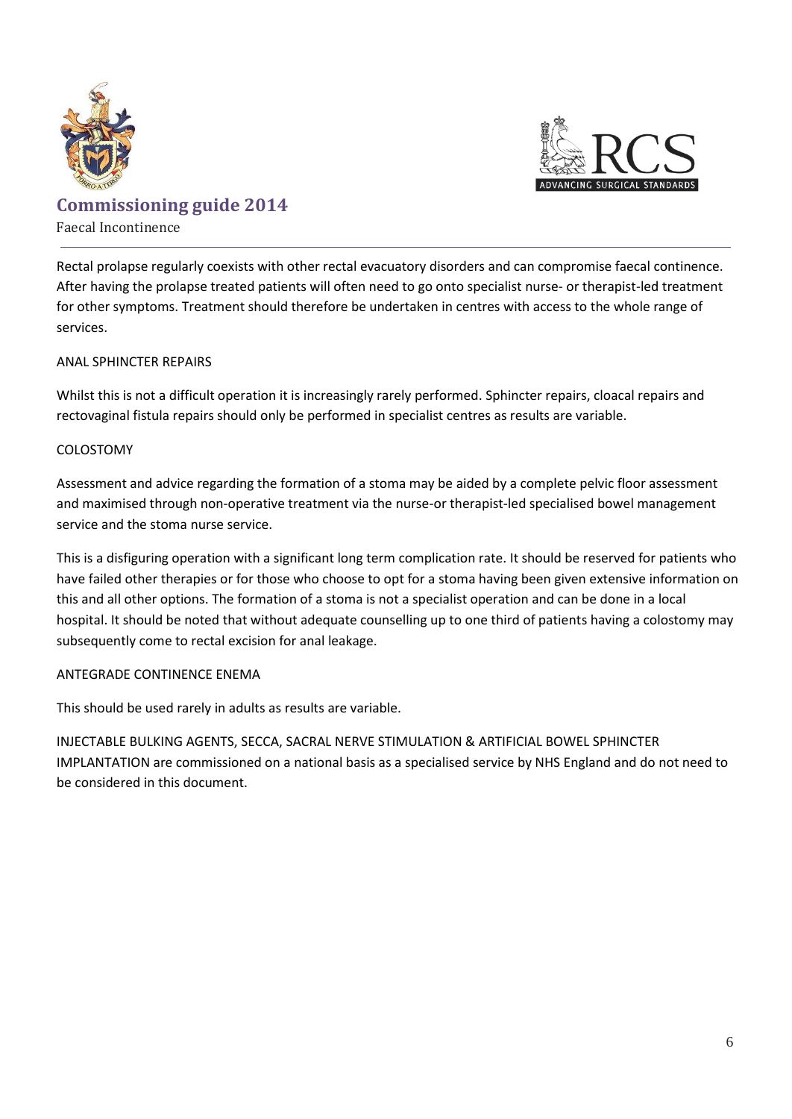



### Faecal Incontinence Rectal prolapse regularly coexists with other rectal evacuatory disorders and can compromise faecal continence. After having the prolapse treated patients will often need to go onto specialist nurse- or therapist-led treatment

#### ANAL SPHINCTER REPAIRS

Whilst this is not a difficult operation it is increasingly rarely performed. Sphincter repairs, cloacal repairs and rectovaginal fistula repairs should only be performed in specialist centres as results are variable.

for other symptoms. Treatment should therefore be undertaken in centres with access to the whole range of

#### COLOSTOMY

services.

Assessment and advice regarding the formation of a stoma may be aided by a complete pelvic floor assessment and maximised through non-operative treatment via the nurse-or therapist-led specialised bowel management service and the stoma nurse service.

This is a disfiguring operation with a significant long term complication rate. It should be reserved for patients who have failed other therapies or for those who choose to opt for a stoma having been given extensive information on this and all other options. The formation of a stoma is not a specialist operation and can be done in a local hospital. It should be noted that without adequate counselling up to one third of patients having a colostomy may subsequently come to rectal excision for anal leakage.

#### ANTEGRADE CONTINENCE ENEMA

This should be used rarely in adults as results are variable.

INJECTABLE BULKING AGENTS, SECCA, SACRAL NERVE STIMULATION & ARTIFICIAL BOWEL SPHINCTER IMPLANTATION are commissioned on a national basis as a specialised service by NHS England and do not need to be considered in this document.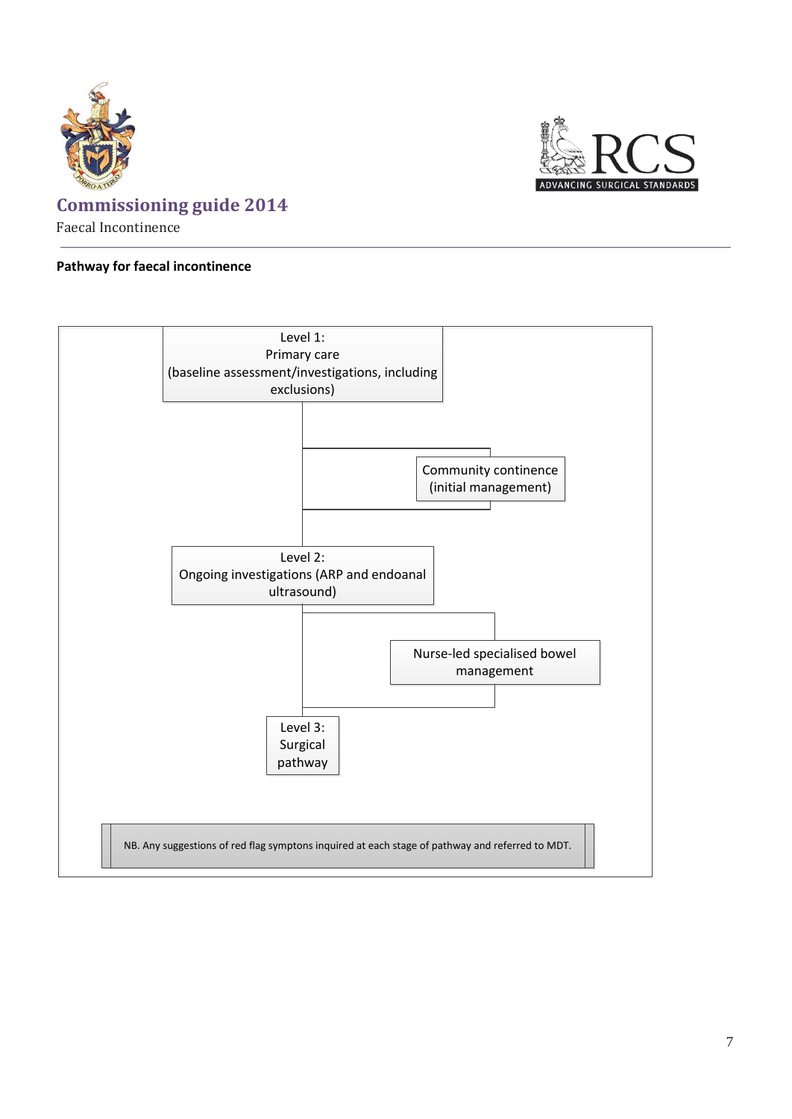



#### **Pathway for faecal incontinence**

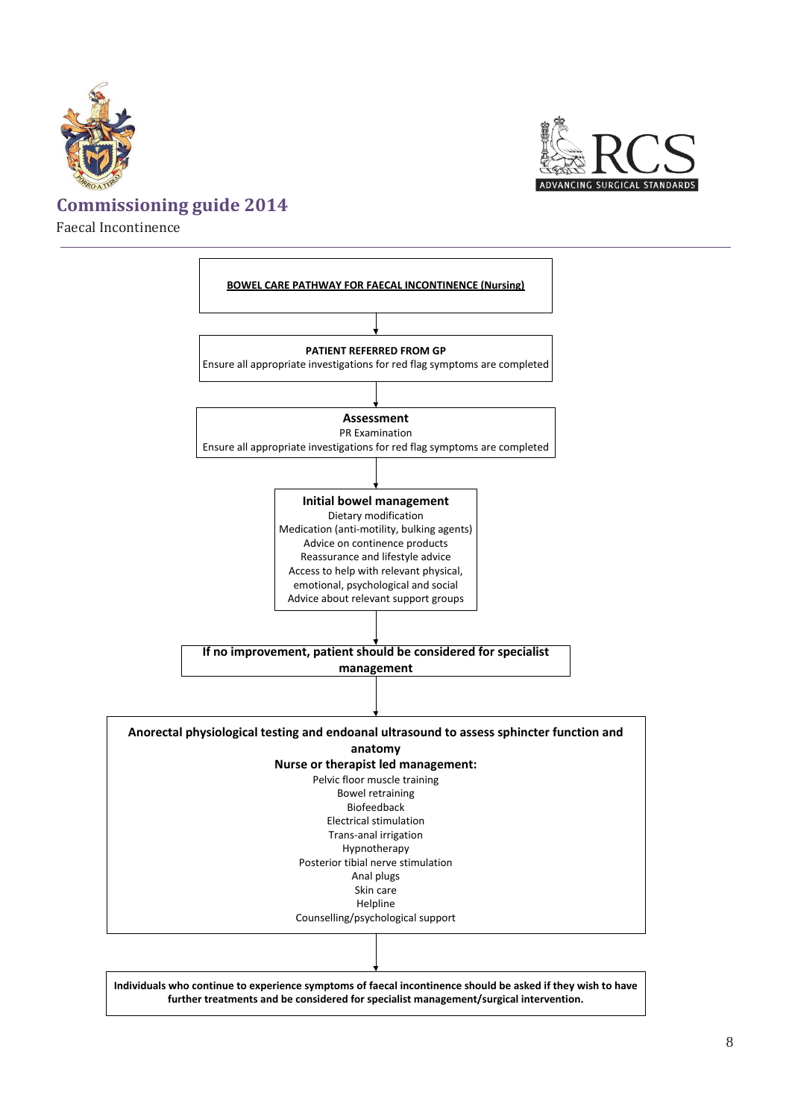



Faecal Incontinence

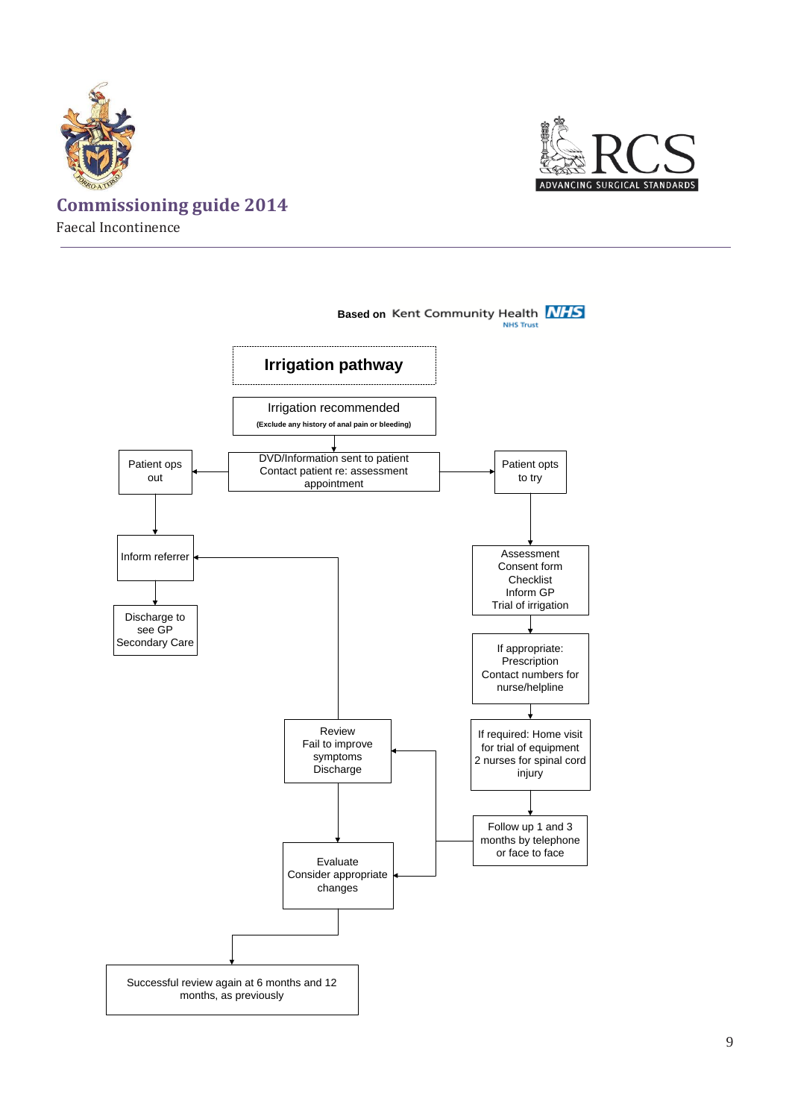



<span id="page-9-0"></span>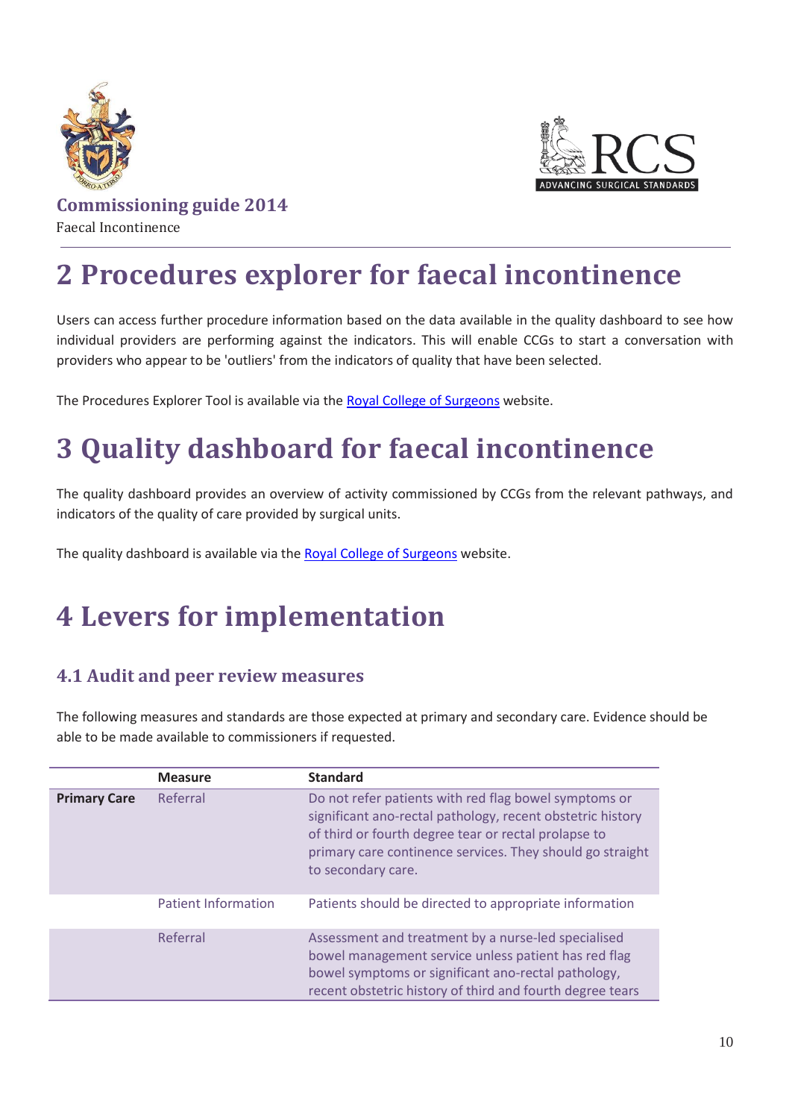



# **2 Procedures explorer for faecal incontinence**

Users can access further procedure information based on the data available in the quality dashboard to see how individual providers are performing against the indicators. This will enable CCGs to start a conversation with providers who appear to be 'outliers' from the indicators of quality that have been selected.

The Procedures Explorer Tool is available via th[e Royal College of Surgeons](http://rcs.methods.co.uk/pet.html) website.

# <span id="page-10-0"></span>**3 Quality dashboard for faecal incontinence**

The quality dashboard provides an overview of activity commissioned by CCGs from the relevant pathways, and indicators of the quality of care provided by surgical units.

The quality dashboard is available via the [Royal College of Surgeons](http://rcs.methods.co.uk/dashboards.html) website.

# <span id="page-10-1"></span>**4 Levers for implementation**

### <span id="page-10-2"></span>**4.1 Audit and peer review measures**

The following measures and standards are those expected at primary and secondary care. Evidence should be able to be made available to commissioners if requested.

|                                                       | <b>Measure</b>             | <b>Standard</b>                                                                                                                                                                                                                          |
|-------------------------------------------------------|----------------------------|------------------------------------------------------------------------------------------------------------------------------------------------------------------------------------------------------------------------------------------|
| <b>Primary Care</b><br>Referral<br>to secondary care. |                            | Do not refer patients with red flag bowel symptoms or<br>significant ano-rectal pathology, recent obstetric history<br>of third or fourth degree tear or rectal prolapse to<br>primary care continence services. They should go straight |
|                                                       | <b>Patient Information</b> | Patients should be directed to appropriate information                                                                                                                                                                                   |
|                                                       | Referral                   | Assessment and treatment by a nurse-led specialised<br>bowel management service unless patient has red flag<br>bowel symptoms or significant ano-rectal pathology,<br>recent obstetric history of third and fourth degree tears          |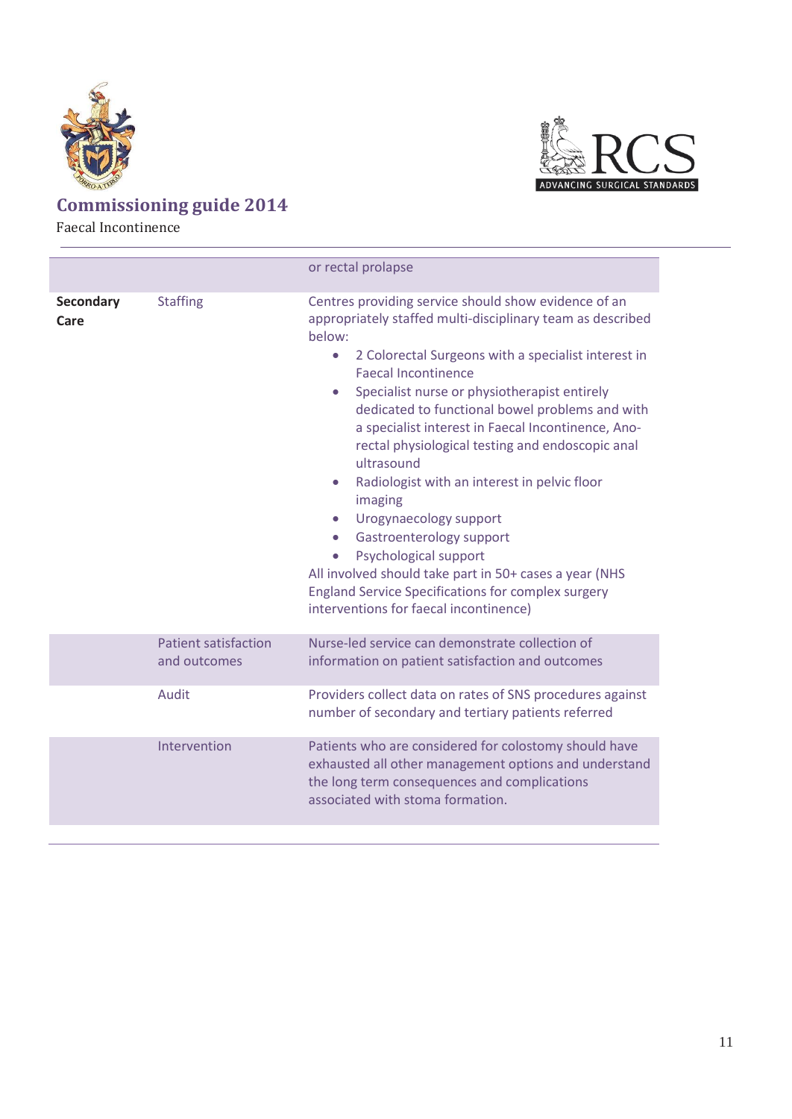



Faecal Incontinence

<span id="page-11-0"></span>

|                                             | or rectal prolapse                                                                                                                                                                                                                                                                                                                                                                                                                                                                                                                                                                                                                                                                                                                                                                                                       |
|---------------------------------------------|--------------------------------------------------------------------------------------------------------------------------------------------------------------------------------------------------------------------------------------------------------------------------------------------------------------------------------------------------------------------------------------------------------------------------------------------------------------------------------------------------------------------------------------------------------------------------------------------------------------------------------------------------------------------------------------------------------------------------------------------------------------------------------------------------------------------------|
| <b>Staffing</b>                             | Centres providing service should show evidence of an<br>appropriately staffed multi-disciplinary team as described<br>below:<br>2 Colorectal Surgeons with a specialist interest in<br>$\bullet$<br><b>Faecal Incontinence</b><br>Specialist nurse or physiotherapist entirely<br>$\bullet$<br>dedicated to functional bowel problems and with<br>a specialist interest in Faecal Incontinence, Ano-<br>rectal physiological testing and endoscopic anal<br>ultrasound<br>Radiologist with an interest in pelvic floor<br>$\bullet$<br>imaging<br>Urogynaecology support<br>$\bullet$<br>Gastroenterology support<br>$\bullet$<br>Psychological support<br>All involved should take part in 50+ cases a year (NHS<br><b>England Service Specifications for complex surgery</b><br>interventions for faecal incontinence) |
| <b>Patient satisfaction</b><br>and outcomes | Nurse-led service can demonstrate collection of<br>information on patient satisfaction and outcomes                                                                                                                                                                                                                                                                                                                                                                                                                                                                                                                                                                                                                                                                                                                      |
| Audit                                       | Providers collect data on rates of SNS procedures against<br>number of secondary and tertiary patients referred                                                                                                                                                                                                                                                                                                                                                                                                                                                                                                                                                                                                                                                                                                          |
| Intervention                                | Patients who are considered for colostomy should have<br>exhausted all other management options and understand<br>the long term consequences and complications<br>associated with stoma formation.                                                                                                                                                                                                                                                                                                                                                                                                                                                                                                                                                                                                                       |
|                                             |                                                                                                                                                                                                                                                                                                                                                                                                                                                                                                                                                                                                                                                                                                                                                                                                                          |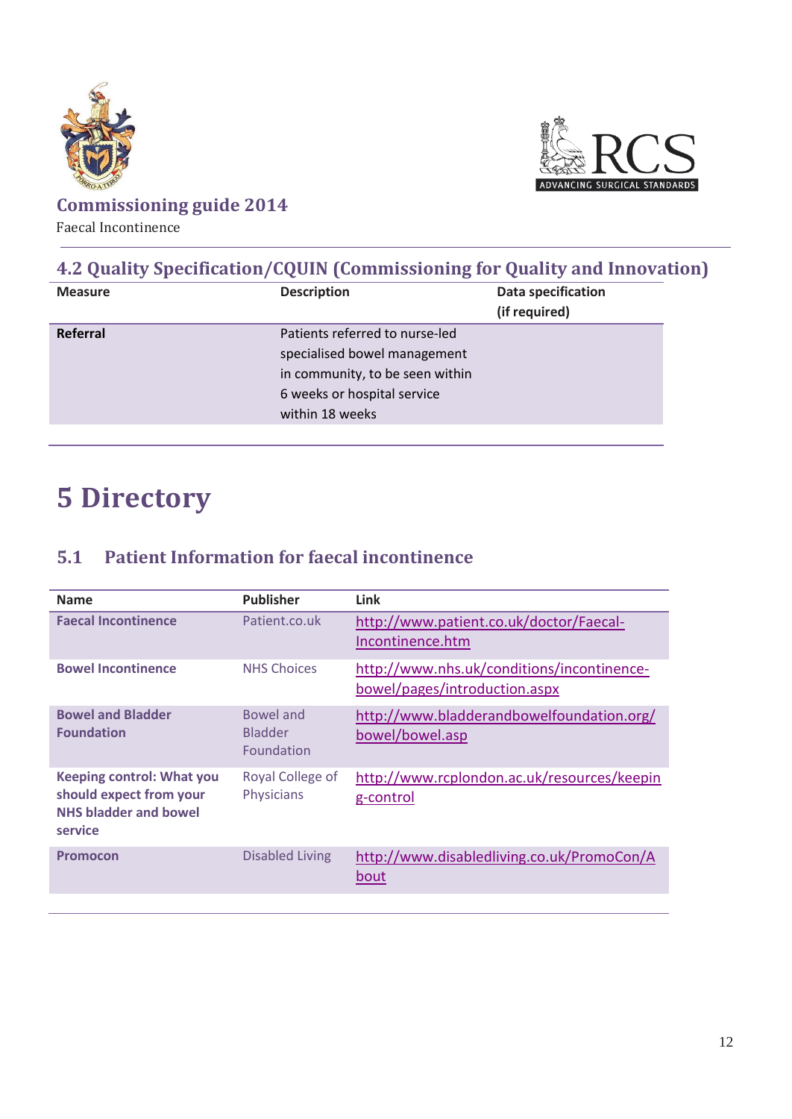



Faecal Incontinence

### **4.2 Quality Specification/CQUIN (Commissioning for Quality and Innovation)**

| <b>Measure</b> | <b>Description</b>                                                                                                                                  | Data specification<br>(if required) |
|----------------|-----------------------------------------------------------------------------------------------------------------------------------------------------|-------------------------------------|
| Referral       | Patients referred to nurse-led<br>specialised bowel management<br>in community, to be seen within<br>6 weeks or hospital service<br>within 18 weeks |                                     |

# <span id="page-12-0"></span>**5 Directory**

### <span id="page-12-1"></span>**5.1 Patient Information for faecal incontinence**

<span id="page-12-2"></span>

| <b>Name</b>                                                                                            | <b>Publisher</b>                          | <b>Link</b>                                                                 |
|--------------------------------------------------------------------------------------------------------|-------------------------------------------|-----------------------------------------------------------------------------|
| <b>Faecal Incontinence</b>                                                                             | Patient.co.uk                             | http://www.patient.co.uk/doctor/Faecal-<br>Incontinence.htm                 |
| <b>Bowel Incontinence</b>                                                                              | <b>NHS Choices</b>                        | http://www.nhs.uk/conditions/incontinence-<br>bowel/pages/introduction.aspx |
| <b>Bowel and Bladder</b><br><b>Foundation</b>                                                          | Bowel and<br><b>Bladder</b><br>Foundation | http://www.bladderandbowelfoundation.org/<br>bowel/bowel.asp                |
| <b>Keeping control: What you</b><br>should expect from your<br><b>NHS bladder and bowel</b><br>service | Royal College of<br>Physicians            | http://www.rcplondon.ac.uk/resources/keepin<br>g-control                    |
| <b>Promocon</b>                                                                                        | <b>Disabled Living</b>                    | http://www.disabledliving.co.uk/PromoCon/A<br>bout                          |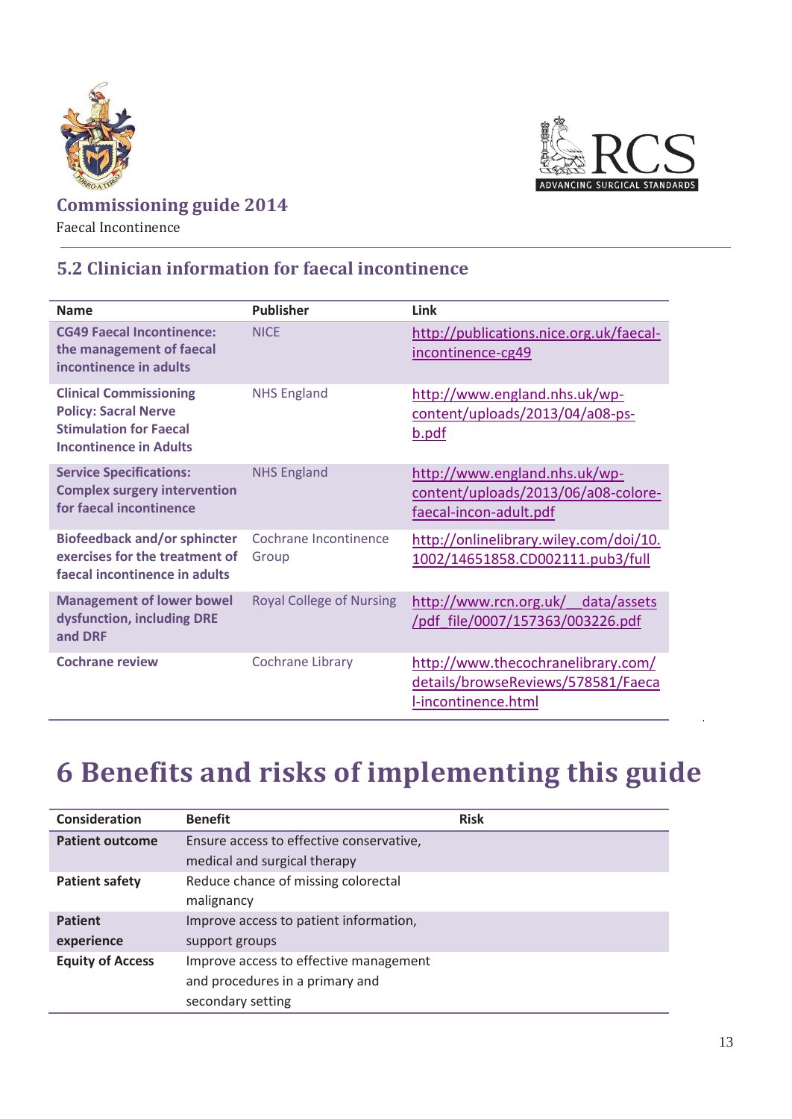



Faecal Incontinence

### **5.2 Clinician information for faecal incontinence**

| <b>Name</b>                                                                                                                    | <b>Publisher</b>                | Link                                                                                            |
|--------------------------------------------------------------------------------------------------------------------------------|---------------------------------|-------------------------------------------------------------------------------------------------|
| <b>CG49 Faecal Incontinence:</b><br>the management of faecal<br>incontinence in adults                                         | <b>NICF</b>                     | http://publications.nice.org.uk/faecal-<br>incontinence-cg49                                    |
| <b>Clinical Commissioning</b><br><b>Policy: Sacral Nerve</b><br><b>Stimulation for Faecal</b><br><b>Incontinence in Adults</b> | <b>NHS England</b>              | http://www.england.nhs.uk/wp-<br>content/uploads/2013/04/a08-ps-<br>b.pdf                       |
| <b>Service Specifications:</b><br><b>Complex surgery intervention</b><br>for faecal incontinence                               | <b>NHS England</b>              | http://www.england.nhs.uk/wp-<br>content/uploads/2013/06/a08-colore-<br>faecal-incon-adult.pdf  |
| <b>Biofeedback and/or sphincter</b><br>exercises for the treatment of<br>faecal incontinence in adults                         | Cochrane Incontinence<br>Group  | http://onlinelibrary.wiley.com/doi/10.<br>1002/14651858.CD002111.pub3/full                      |
| <b>Management of lower bowel</b><br>dysfunction, including DRE<br>and DRF                                                      | <b>Royal College of Nursing</b> | http://www.rcn.org.uk/<br>data/assets<br>/pdf_file/0007/157363/003226.pdf                       |
| <b>Cochrane review</b>                                                                                                         | <b>Cochrane Library</b>         | http://www.thecochranelibrary.com/<br>details/browseReviews/578581/Faeca<br>l-incontinence.html |

# <span id="page-13-0"></span>**6 Benefits and risks of implementing this guide**

| <b>Consideration</b>    | <b>Benefit</b>                           | <b>Risk</b> |
|-------------------------|------------------------------------------|-------------|
| <b>Patient outcome</b>  | Ensure access to effective conservative, |             |
|                         | medical and surgical therapy             |             |
| <b>Patient safety</b>   | Reduce chance of missing colorectal      |             |
|                         | malignancy                               |             |
| <b>Patient</b>          | Improve access to patient information,   |             |
| experience              | support groups                           |             |
| <b>Equity of Access</b> | Improve access to effective management   |             |
|                         | and procedures in a primary and          |             |
|                         | secondary setting                        |             |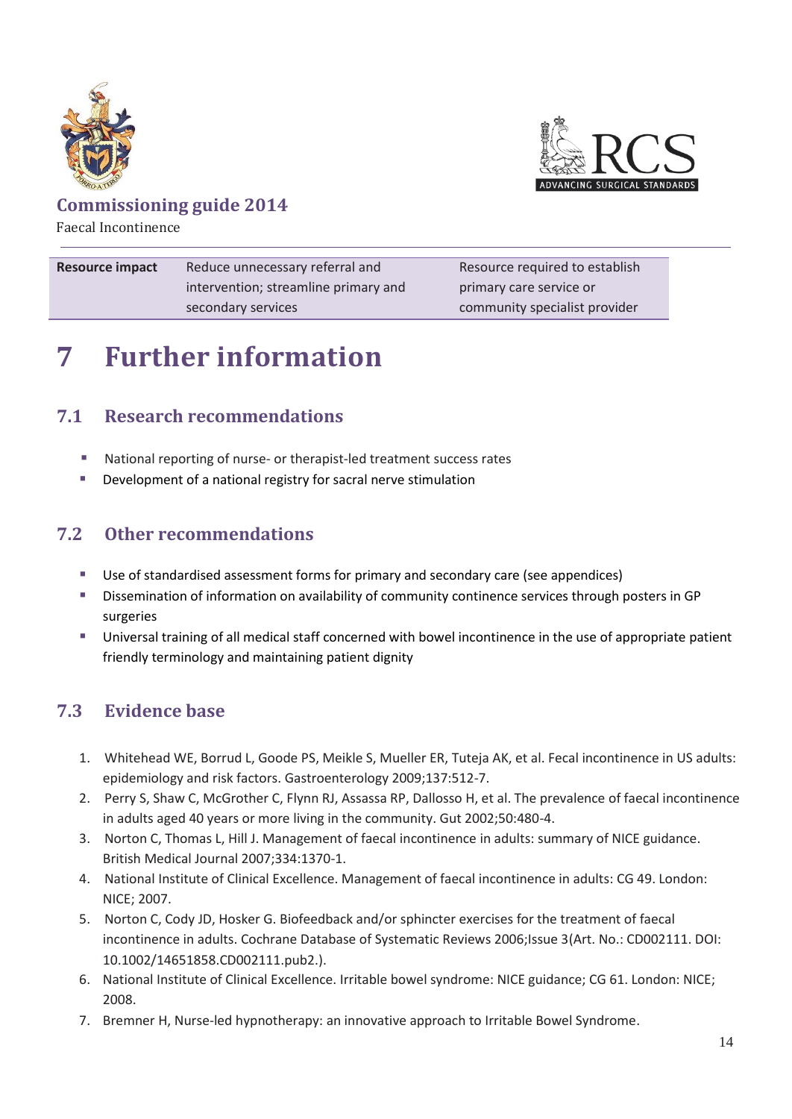



Faecal Incontinence

| <b>Resource impact</b> | Reduce unnecessary referral and      | Resource required to establish |
|------------------------|--------------------------------------|--------------------------------|
|                        | intervention; streamline primary and | primary care service or        |
|                        | secondary services                   | community specialist provider  |

# <span id="page-14-0"></span>**7 Further information**

### <span id="page-14-1"></span>**7.1 Research recommendations**

- National reporting of nurse- or therapist-led treatment success rates
- **Development of a national registry for sacral nerve stimulation**

### <span id="page-14-2"></span>**7.2 Other recommendations**

- Use of standardised assessment forms for primary and secondary care (see appendices)
- Dissemination of information on availability of community continence services through posters in GP surgeries
- Universal training of all medical staff concerned with bowel incontinence in the use of appropriate patient friendly terminology and maintaining patient dignity

### <span id="page-14-3"></span>**7.3 Evidence base**

- 1. Whitehead WE, Borrud L, Goode PS, Meikle S, Mueller ER, Tuteja AK, et al. Fecal incontinence in US adults: epidemiology and risk factors. Gastroenterology 2009;137:512-7.
- 2. Perry S, Shaw C, McGrother C, Flynn RJ, Assassa RP, Dallosso H, et al. The prevalence of faecal incontinence in adults aged 40 years or more living in the community. Gut 2002;50:480-4.
- 3. Norton C, Thomas L, Hill J. Management of faecal incontinence in adults: summary of NICE guidance. British Medical Journal 2007;334:1370-1.
- 4. National Institute of Clinical Excellence. Management of faecal incontinence in adults: CG 49. London: NICE; 2007.
- 5. Norton C, Cody JD, Hosker G. Biofeedback and/or sphincter exercises for the treatment of faecal incontinence in adults. Cochrane Database of Systematic Reviews 2006;Issue 3(Art. No.: CD002111. DOI: 10.1002/14651858.CD002111.pub2.).
- 6. National Institute of Clinical Excellence. Irritable bowel syndrome: NICE guidance; CG 61. London: NICE; 2008.
- 7. Bremner H, Nurse-led hypnotherapy: an innovative approach to Irritable Bowel Syndrome.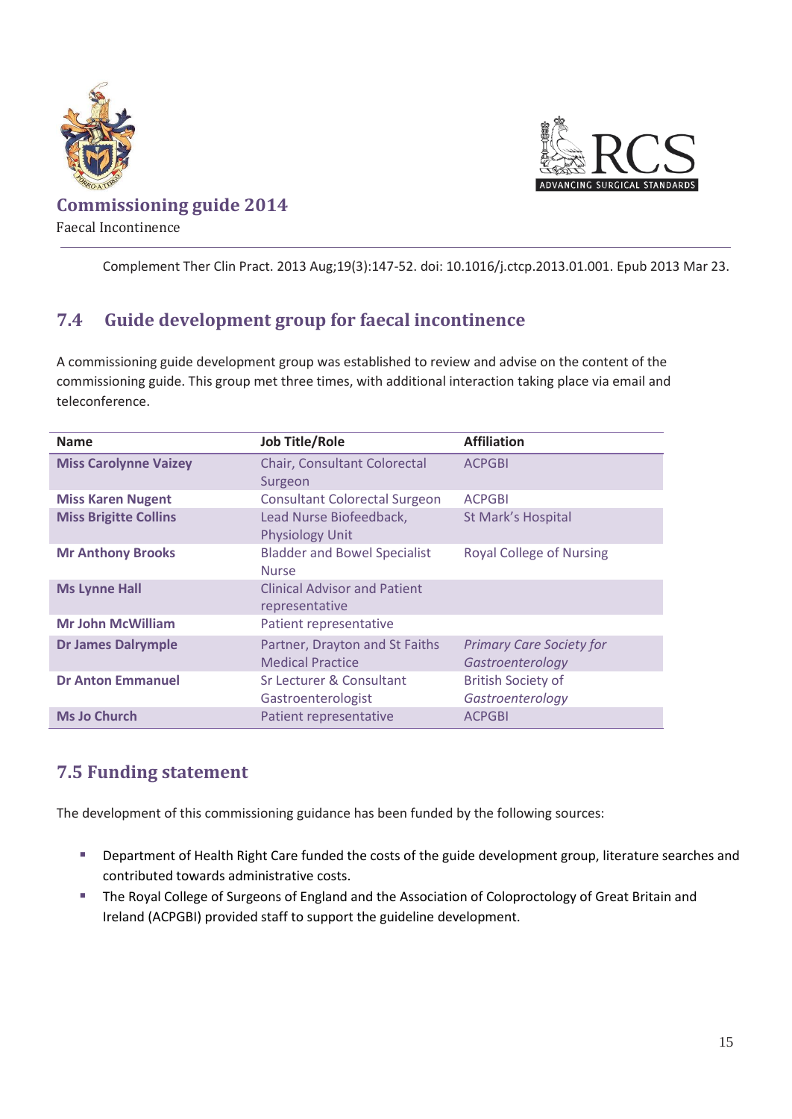



Complement Ther Clin Pract. 2013 Aug;19(3):147-52. doi: 10.1016/j.ctcp.2013.01.001. Epub 2013 Mar 23.

### <span id="page-15-0"></span>**7.4 Guide development group for faecal incontinence**

A commissioning guide development group was established to review and advise on the content of the commissioning guide. This group met three times, with additional interaction taking place via email and teleconference.

| <b>Name</b>                  | <b>Job Title/Role</b>                                     | <b>Affiliation</b>                                  |
|------------------------------|-----------------------------------------------------------|-----------------------------------------------------|
| <b>Miss Carolynne Vaizey</b> | Chair, Consultant Colorectal<br>Surgeon                   | <b>ACPGBI</b>                                       |
| <b>Miss Karen Nugent</b>     | <b>Consultant Colorectal Surgeon</b>                      | <b>ACPGBI</b>                                       |
| <b>Miss Brigitte Collins</b> | Lead Nurse Biofeedback,<br><b>Physiology Unit</b>         | <b>St Mark's Hospital</b>                           |
| <b>Mr Anthony Brooks</b>     | <b>Bladder and Bowel Specialist</b><br><b>Nurse</b>       | <b>Royal College of Nursing</b>                     |
| <b>Ms Lynne Hall</b>         | <b>Clinical Advisor and Patient</b><br>representative     |                                                     |
| <b>Mr John McWilliam</b>     | Patient representative                                    |                                                     |
| <b>Dr James Dalrymple</b>    | Partner, Drayton and St Faiths<br><b>Medical Practice</b> | <b>Primary Care Society for</b><br>Gastroenterology |
| <b>Dr Anton Emmanuel</b>     | Sr Lecturer & Consultant<br>Gastroenterologist            | <b>British Society of</b><br>Gastroenterology       |
| <b>Ms Jo Church</b>          | Patient representative                                    | <b>ACPGBI</b>                                       |

### <span id="page-15-1"></span>**7.5 Funding statement**

The development of this commissioning guidance has been funded by the following sources:

- Department of Health Right Care funded the costs of the guide development group, literature searches and contributed towards administrative costs.
- <span id="page-15-2"></span>**The Royal College of Surgeons of England and the Association of Coloproctology of Great Britain and** Ireland (ACPGBI) provided staff to support the guideline development.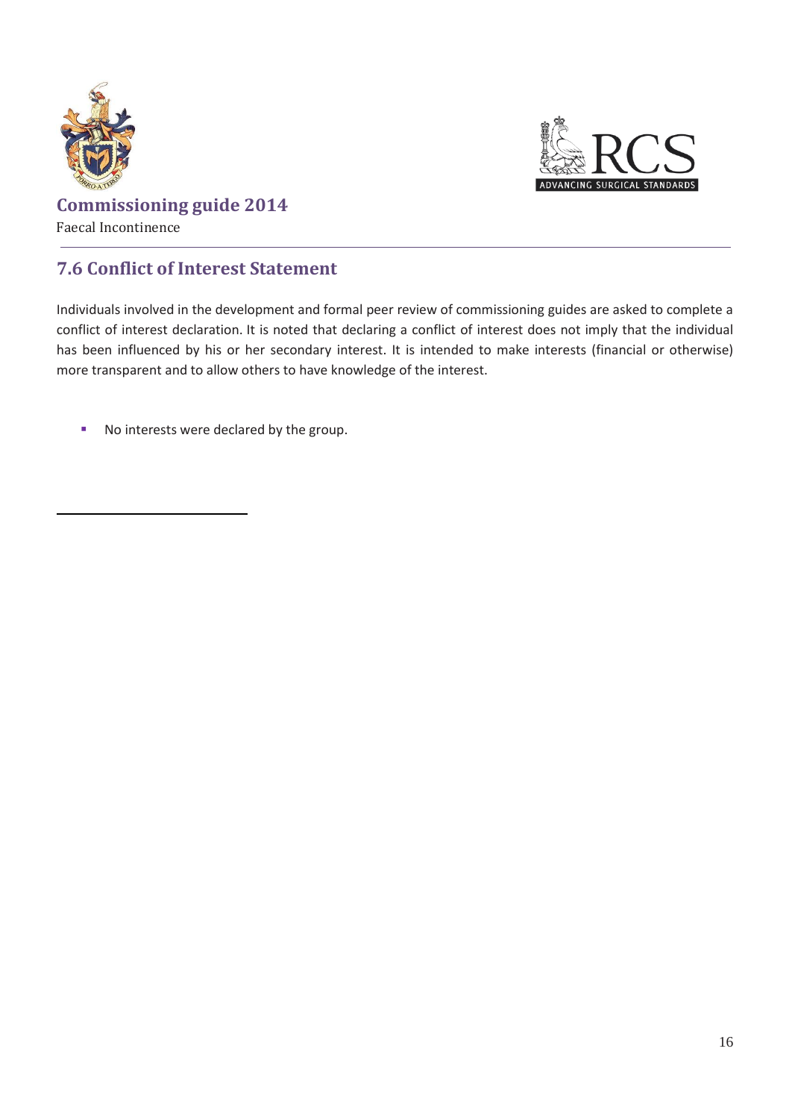



### **7.6 Conflict of Interest Statement**

Individuals involved in the development and formal peer review of commissioning guides are asked to complete a conflict of interest declaration. It is noted that declaring a conflict of interest does not imply that the individual has been influenced by his or her secondary interest. It is intended to make interests (financial or otherwise) more transparent and to allow others to have knowledge of the interest.

No interests were declared by the group.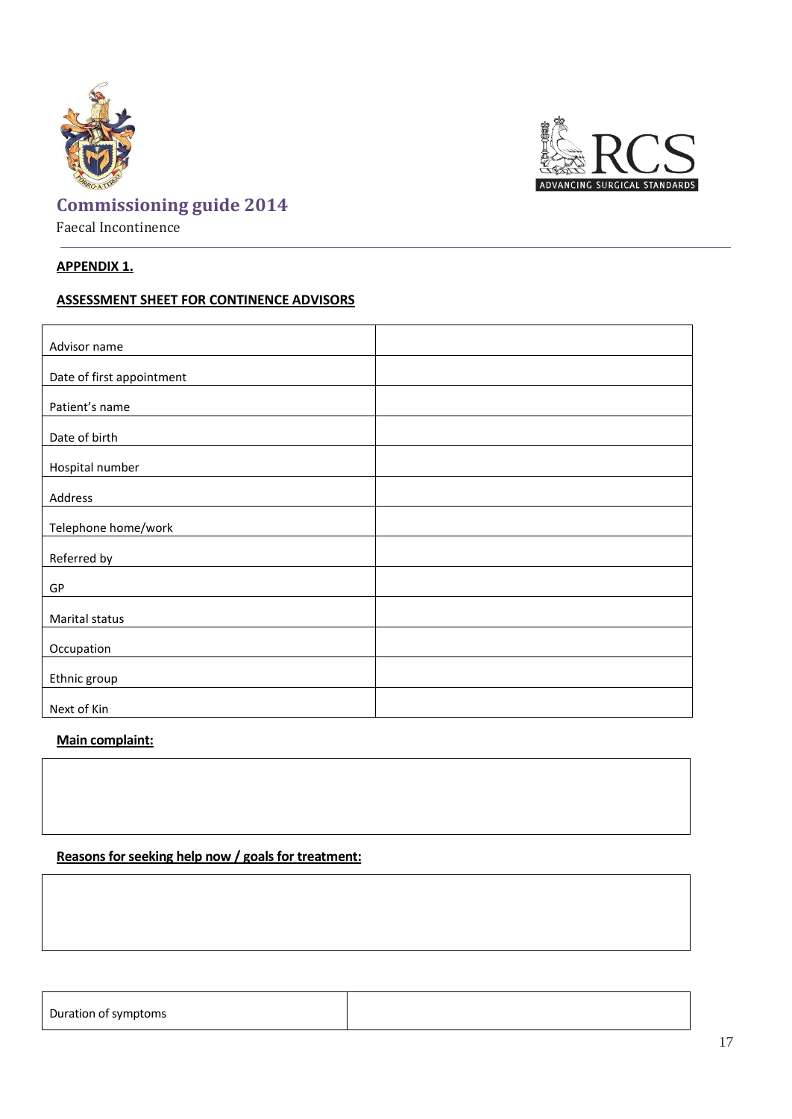



### **APPENDIX 1.**

#### **ASSESSMENT SHEET FOR CONTINENCE ADVISORS**

| Advisor name              |  |
|---------------------------|--|
|                           |  |
| Date of first appointment |  |
|                           |  |
| Patient's name            |  |
| Date of birth             |  |
|                           |  |
| Hospital number           |  |
|                           |  |
| Address                   |  |
|                           |  |
| Telephone home/work       |  |
|                           |  |
| Referred by               |  |
| GP                        |  |
|                           |  |
| Marital status            |  |
|                           |  |
| Occupation                |  |
|                           |  |
| Ethnic group              |  |
|                           |  |
| Next of Kin               |  |

#### **Main complaint:**

### **Reasons for seeking help now / goals for treatment:**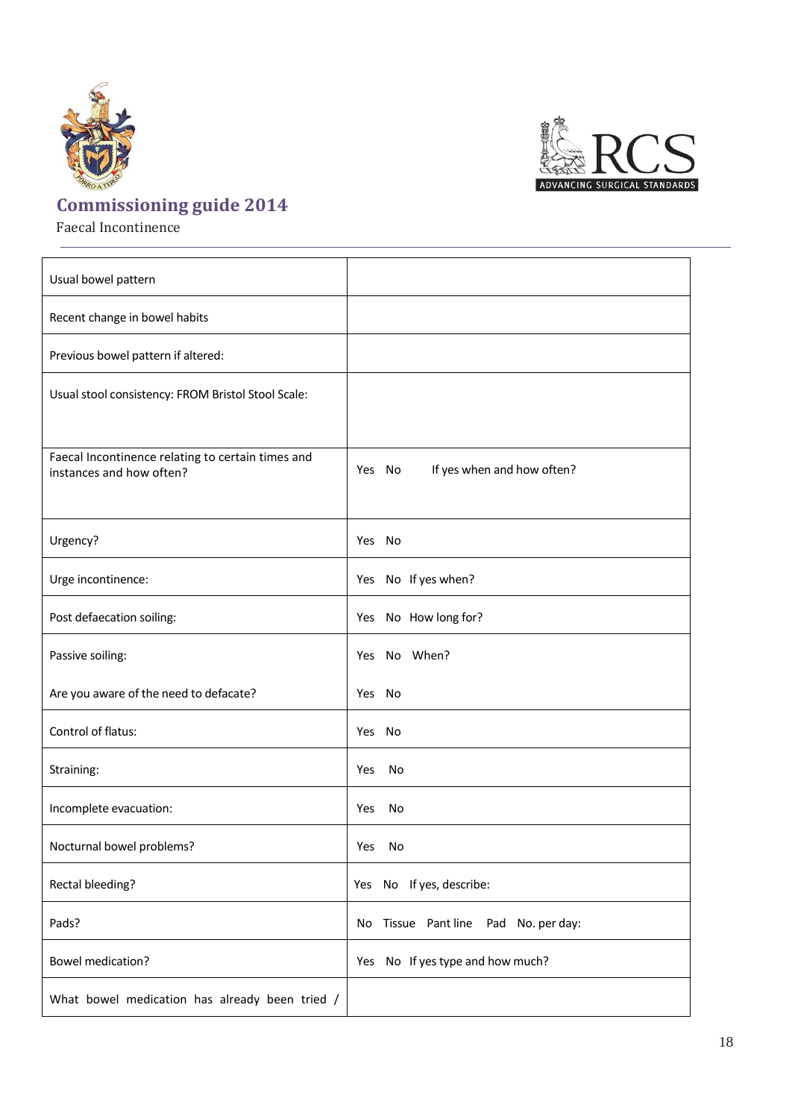



Faecal Incontinence



| Usual bowel pattern                                |                                      |
|----------------------------------------------------|--------------------------------------|
| Recent change in bowel habits                      |                                      |
| Previous bowel pattern if altered:                 |                                      |
| Usual stool consistency: FROM Bristol Stool Scale: |                                      |
| Faecal Incontinence relating to certain times and  |                                      |
| instances and how often?                           | If yes when and how often?<br>Yes No |
| Urgency?                                           | Yes No                               |
|                                                    |                                      |
| Urge incontinence:                                 | Yes No If yes when?                  |
| Post defaecation soiling:                          | Yes No How long for?                 |
| Passive soiling:                                   | Yes No When?                         |
| Are you aware of the need to defacate?             | Yes No                               |
| Control of flatus:                                 | Yes No                               |
| Straining:                                         | Yes<br>No                            |
| Incomplete evacuation:                             | Yes<br>No                            |
| Nocturnal bowel problems?                          | Yes<br>No                            |
| Rectal bleeding?                                   | Yes No If yes, describe:             |
| Pads?                                              | No Tissue Pantline Pad No. per day:  |
| <b>Bowel medication?</b>                           | Yes No If yes type and how much?     |
| What bowel medication has already been tried /     |                                      |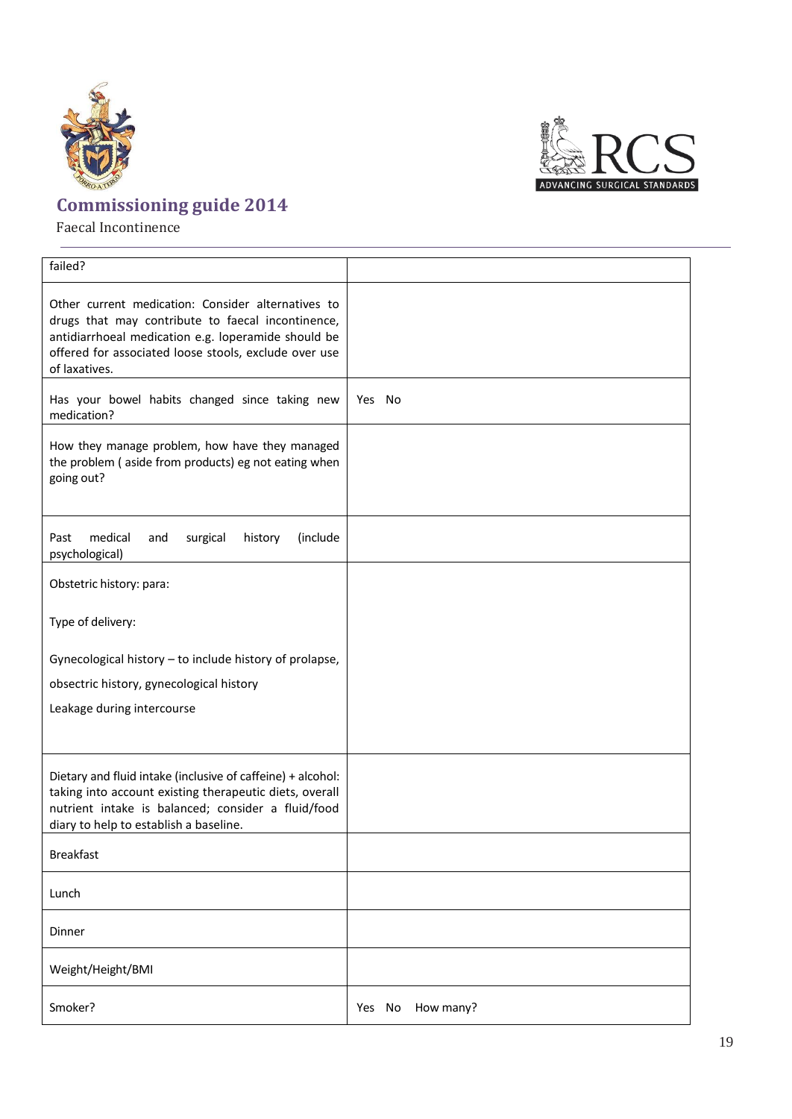

Faecal Incontinence



**SURGICAL STAND.**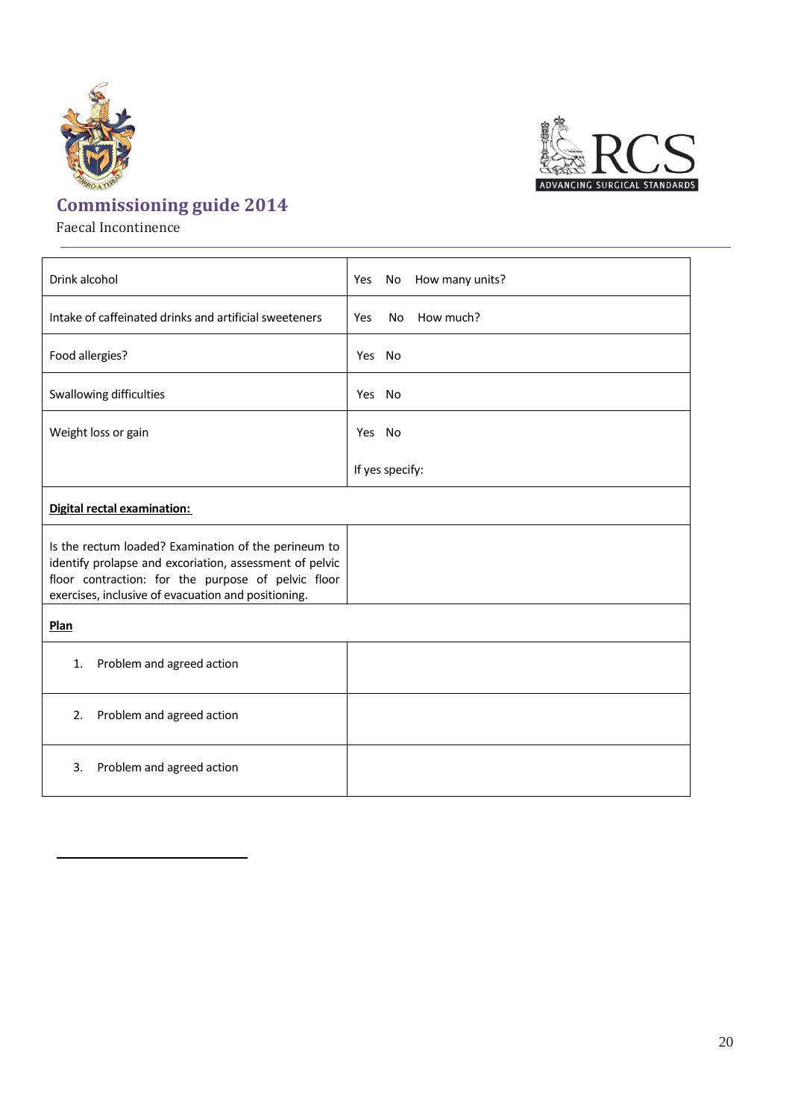![](_page_20_Picture_0.jpeg)

![](_page_20_Picture_1.jpeg)

Faecal Incontinence

![](_page_20_Picture_3.jpeg)

![](_page_20_Picture_4.jpeg)

SURGICAL STANDA

20